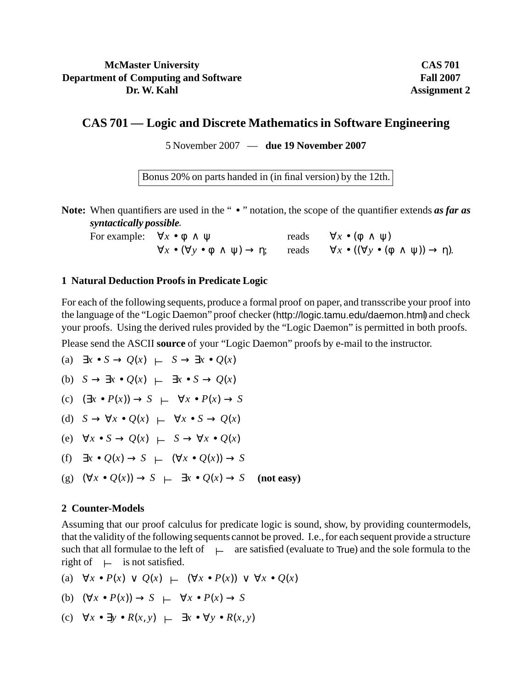## **McMaster University Department of Computing and Software Dr. W. Kahl**

**CAS 701 Fall 2007 Assignment 2**

# **CAS 701 — Logic and Discrete Mathematics in Software Engineering**

5 November 2007 — **due 19 November 2007**

Bonus 20% on parts handed in (in final version) by the 12th.

Note: When quantifiers are used in the " • " notation, the scope of the quantifier extends *as far as syntactically possible*.

For example:  $\forall x \bullet \phi \land \psi$  reads  $\forall x \bullet (\phi \land \psi)$  $\forall x \bullet (\forall y \bullet \phi \land \psi) \to \eta;$  reads  $\forall x \bullet ((\forall y \bullet (\phi \land \psi)) \to \eta).$ 

### **1 Natural Deduction Proofs in Predicate Logic**

For each of the following sequents, produce a formal proof on paper, and transscribe your proof into the language of the "Logic Daemon" proof checker (http://logic.tamu.edu/daemon.html) and check your proofs. Using the derived rules provided by the "Logic Daemon" is permitted in both proofs.

Please send the ASCII **source** of your "Logic Daemon" proofs by e-mail to the instructor.

(a) 
$$
\exists x \bullet S \to Q(x) \vdash S \to \exists x \bullet Q(x)
$$
  
\n(b)  $S \to \exists x \bullet Q(x) \vdash \exists x \bullet S \to Q(x)$   
\n(c)  $(\exists x \bullet P(x)) \to S \vdash \forall x \bullet P(x) \to S$ 

(d) 
$$
S \to \forall x \bullet Q(x) \vdash \forall x \bullet S \to Q(x)
$$

- (e)  $\forall x \bullet S \rightarrow Q(x) \vdash S \rightarrow \forall x \bullet Q(x)$
- (f)  $\exists x \bullet Q(x) \rightarrow S \vdash (\forall x \bullet Q(x)) \rightarrow S$
- (g) (∀*x Q*(*x*)) → *S* ⊥ ∃*x Q*(*x*) → *S* **(not easy)**

#### **2 Counter-Models**

Assuming that our proof calculus for predicate logic is sound, show, by providing countermodels, that the validity of the following sequents cannot be proved. I.e., for each sequent provide a structure such that all formulae to the left of  $\quad \vdash$  are satisfied (evaluate to True) and the sole formula to the right of  $\;\;\vdash\;$  is not satisfied.

(a) 
$$
\forall x \bullet P(x) \lor Q(x) \vdash (\forall x \bullet P(x)) \lor \forall x \bullet Q(x)
$$

(b) 
$$
(\forall x \bullet P(x)) \rightarrow S \leftarrow \forall x \bullet P(x) \rightarrow S
$$

(c) 
$$
\forall x \bullet \exists y \bullet R(x, y) \leftarrow \exists x \bullet \forall y \bullet R(x, y)
$$